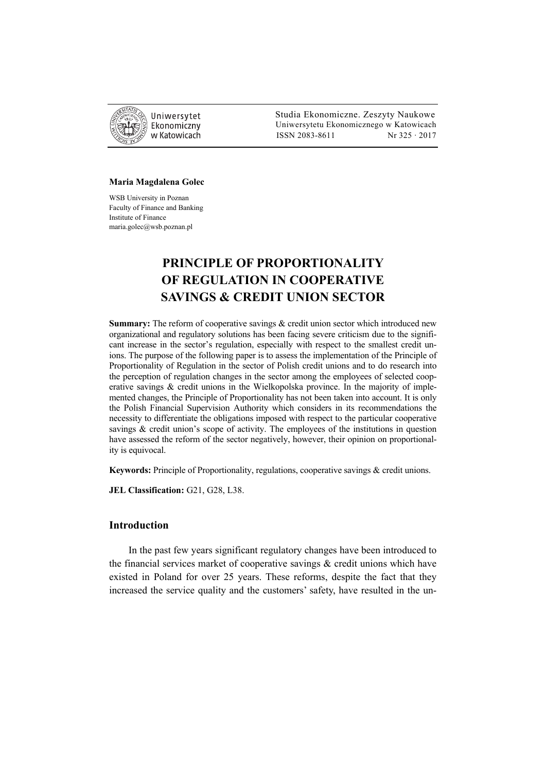

 Studia Ekonomiczne. Zeszyty Naukowe Ekonomiczny Uniwersytetu Ekonomicznego w Katowicach w Katowicach Matsus 2083-8611 Nr 325 · 2017

#### **Maria Magdalena Golec**

WSB University in Poznan Faculty of Finance and Banking Institute of Finance maria.golec@wsb.poznan.pl

# **PRINCIPLE OF PROPORTIONALITY OF REGULATION IN COOPERATIVE SAVINGS & CREDIT UNION SECTOR**

**Summary:** The reform of cooperative savings & credit union sector which introduced new organizational and regulatory solutions has been facing severe criticism due to the significant increase in the sector's regulation, especially with respect to the smallest credit unions. The purpose of the following paper is to assess the implementation of the Principle of Proportionality of Regulation in the sector of Polish credit unions and to do research into the perception of regulation changes in the sector among the employees of selected cooperative savings & credit unions in the Wielkopolska province. In the majority of implemented changes, the Principle of Proportionality has not been taken into account. It is only the Polish Financial Supervision Authority which considers in its recommendations the necessity to differentiate the obligations imposed with respect to the particular cooperative savings & credit union's scope of activity. The employees of the institutions in question have assessed the reform of the sector negatively, however, their opinion on proportionality is equivocal.

**Keywords:** Principle of Proportionality, regulations, cooperative savings & credit unions.

**JEL Classification:** G21, G28, L38.

### **Introduction**

In the past few years significant regulatory changes have been introduced to the financial services market of cooperative savings  $\&$  credit unions which have existed in Poland for over 25 years. These reforms, despite the fact that they increased the service quality and the customers' safety, have resulted in the un-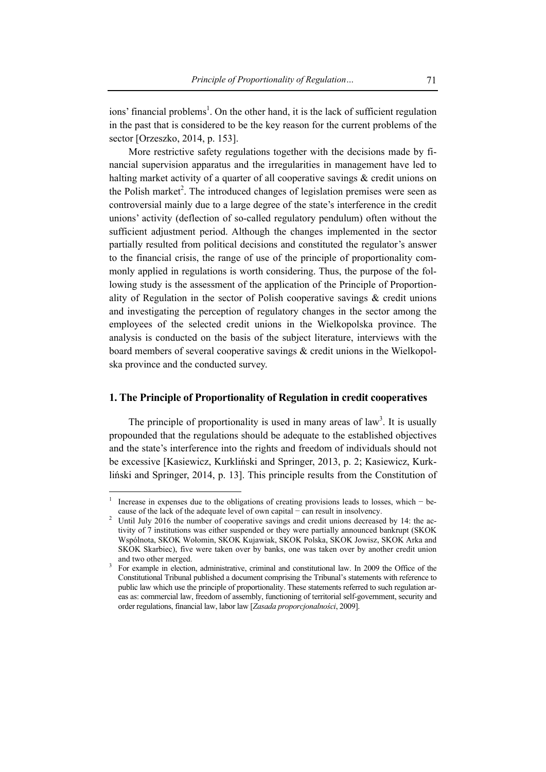ions' financial problems<sup>1</sup>. On the other hand, it is the lack of sufficient regulation in the past that is considered to be the key reason for the current problems of the sector [Orzeszko, 2014, p. 153].

More restrictive safety regulations together with the decisions made by financial supervision apparatus and the irregularities in management have led to halting market activity of a quarter of all cooperative savings & credit unions on the Polish market<sup>2</sup>. The introduced changes of legislation premises were seen as controversial mainly due to a large degree of the state's interference in the credit unions' activity (deflection of so-called regulatory pendulum) often without the sufficient adjustment period. Although the changes implemented in the sector partially resulted from political decisions and constituted the regulator's answer to the financial crisis, the range of use of the principle of proportionality commonly applied in regulations is worth considering. Thus, the purpose of the following study is the assessment of the application of the Principle of Proportionality of Regulation in the sector of Polish cooperative savings & credit unions and investigating the perception of regulatory changes in the sector among the employees of the selected credit unions in the Wielkopolska province. The analysis is conducted on the basis of the subject literature, interviews with the board members of several cooperative savings & credit unions in the Wielkopolska province and the conducted survey.

### **1. The Principle of Proportionality of Regulation in credit cooperatives**

The principle of proportionality is used in many areas of  $law<sup>3</sup>$ . It is usually propounded that the regulations should be adequate to the established objectives and the state's interference into the rights and freedom of individuals should not be excessive [Kasiewicz, Kurkliński and Springer, 2013, p. 2; Kasiewicz, Kurkliński and Springer, 2014, p. 13]. This principle results from the Constitution of

<sup>1</sup> Increase in expenses due to the obligations of creating provisions leads to losses, which − because of the lack of the adequate level of own capital − can result in insolvency.

Until July 2016 the number of cooperative savings and credit unions decreased by 14: the activity of 7 institutions was either suspended or they were partially announced bankrupt (SKOK Wspólnota, SKOK Wołomin, SKOK Kujawiak, SKOK Polska, SKOK Jowisz, SKOK Arka and SKOK Skarbiec), five were taken over by banks, one was taken over by another credit union and two other merged.

For example in election, administrative, criminal and constitutional law. In 2009 the Office of the Constitutional Tribunal published a document comprising the Tribunal's statements with reference to public law which use the principle of proportionality. These statements referred to such regulation areas as: commercial law, freedom of assembly, functioning of territorial self-government, security and order regulations, financial law, labor law [*Zasada proporcjonalności*, 2009].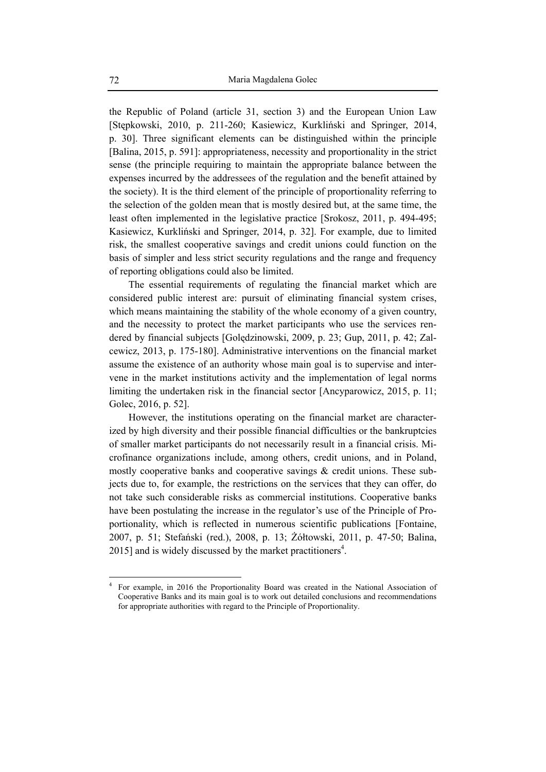the Republic of Poland (article 31, section 3) and the European Union Law [Stępkowski, 2010, p. 211-260; Kasiewicz, Kurkliński and Springer, 2014, p. 30]. Three significant elements can be distinguished within the principle [Balina, 2015, p. 591]: appropriateness, necessity and proportionality in the strict sense (the principle requiring to maintain the appropriate balance between the expenses incurred by the addressees of the regulation and the benefit attained by the society). It is the third element of the principle of proportionality referring to the selection of the golden mean that is mostly desired but, at the same time, the least often implemented in the legislative practice [Srokosz, 2011, p. 494-495; Kasiewicz, Kurkliński and Springer, 2014, p. 32]. For example, due to limited risk, the smallest cooperative savings and credit unions could function on the basis of simpler and less strict security regulations and the range and frequency of reporting obligations could also be limited.

The essential requirements of regulating the financial market which are considered public interest are: pursuit of eliminating financial system crises, which means maintaining the stability of the whole economy of a given country, and the necessity to protect the market participants who use the services rendered by financial subjects [Golędzinowski, 2009, p. 23; Gup, 2011, p. 42; Zalcewicz, 2013, p. 175-180]. Administrative interventions on the financial market assume the existence of an authority whose main goal is to supervise and intervene in the market institutions activity and the implementation of legal norms limiting the undertaken risk in the financial sector [Ancyparowicz, 2015, p. 11; Golec, 2016, p. 52].

However, the institutions operating on the financial market are characterized by high diversity and their possible financial difficulties or the bankruptcies of smaller market participants do not necessarily result in a financial crisis. Microfinance organizations include, among others, credit unions, and in Poland, mostly cooperative banks and cooperative savings & credit unions. These subjects due to, for example, the restrictions on the services that they can offer, do not take such considerable risks as commercial institutions. Cooperative banks have been postulating the increase in the regulator's use of the Principle of Proportionality, which is reflected in numerous scientific publications [Fontaine, 2007, p. 51; Stefański (red.), 2008, p. 13; Żółtowski, 2011, p. 47-50; Balina, 2015] and is widely discussed by the market practitioners<sup>4</sup>.

<sup>4</sup> For example, in 2016 the Proportionality Board was created in the National Association of Cooperative Banks and its main goal is to work out detailed conclusions and recommendations for appropriate authorities with regard to the Principle of Proportionality.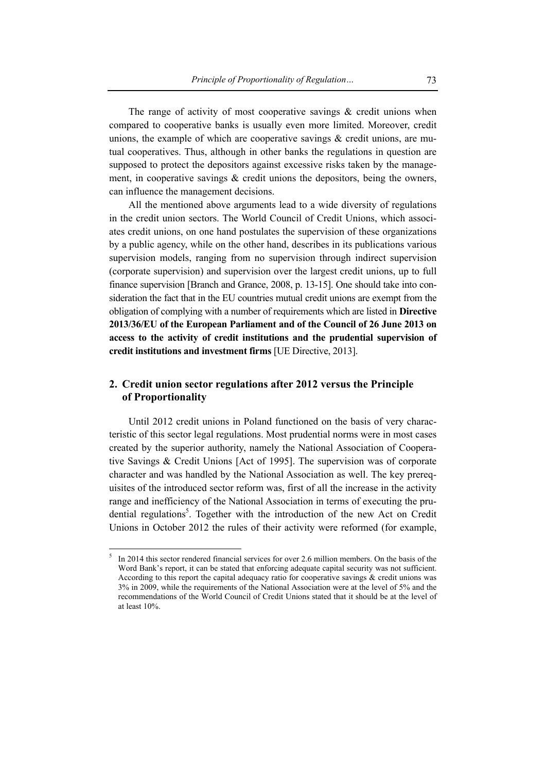The range of activity of most cooperative savings  $\&$  credit unions when compared to cooperative banks is usually even more limited. Moreover, credit unions, the example of which are cooperative savings  $\&$  credit unions, are mutual cooperatives. Thus, although in other banks the regulations in question are supposed to protect the depositors against excessive risks taken by the management, in cooperative savings & credit unions the depositors, being the owners, can influence the management decisions.

All the mentioned above arguments lead to a wide diversity of regulations in the credit union sectors. The World Council of Credit Unions, which associates credit unions, on one hand postulates the supervision of these organizations by a public agency, while on the other hand, describes in its publications various supervision models, ranging from no supervision through indirect supervision (corporate supervision) and supervision over the largest credit unions, up to full finance supervision [Branch and Grance, 2008, p. 13-15]. One should take into consideration the fact that in the EU countries mutual credit unions are exempt from the obligation of complying with a number of requirements which are listed in **Directive 2013/36/EU of the European Parliament and of the Council of 26 June 2013 on access to the activity of credit institutions and the prudential supervision of credit institutions and investment firms** [UE Directive, 2013].

# **2. Credit union sector regulations after 2012 versus the Principle of Proportionality**

Until 2012 credit unions in Poland functioned on the basis of very characteristic of this sector legal regulations. Most prudential norms were in most cases created by the superior authority, namely the National Association of Cooperative Savings & Credit Unions [Act of 1995]. The supervision was of corporate character and was handled by the National Association as well. The key prerequisites of the introduced sector reform was, first of all the increase in the activity range and inefficiency of the National Association in terms of executing the prudential regulations<sup>5</sup>. Together with the introduction of the new Act on Credit Unions in October 2012 the rules of their activity were reformed (for example,

<sup>5</sup> In 2014 this sector rendered financial services for over 2.6 million members. On the basis of the Word Bank's report, it can be stated that enforcing adequate capital security was not sufficient. According to this report the capital adequacy ratio for cooperative savings & credit unions was 3% in 2009, while the requirements of the National Association were at the level of 5% and the recommendations of the World Council of Credit Unions stated that it should be at the level of at least 10%.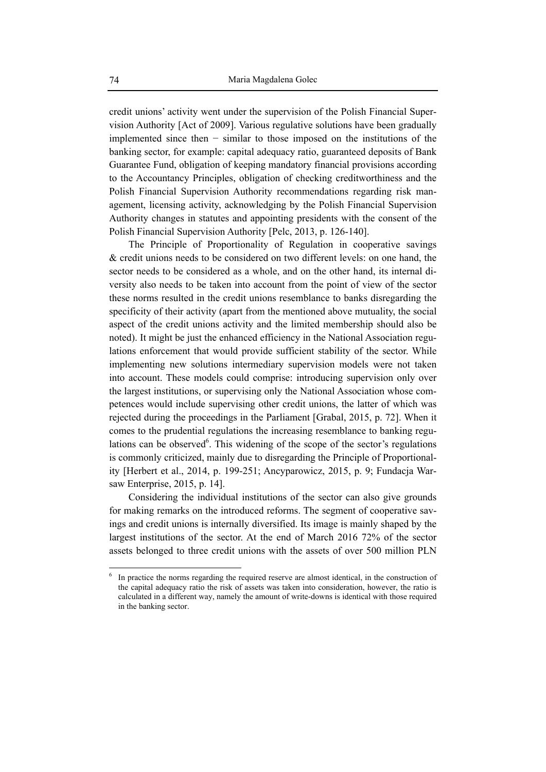credit unions' activity went under the supervision of the Polish Financial Supervision Authority [Act of 2009]. Various regulative solutions have been gradually implemented since then − similar to those imposed on the institutions of the banking sector, for example: capital adequacy ratio, guaranteed deposits of Bank Guarantee Fund, obligation of keeping mandatory financial provisions according to the Accountancy Principles, obligation of checking creditworthiness and the Polish Financial Supervision Authority recommendations regarding risk management, licensing activity, acknowledging by the Polish Financial Supervision Authority changes in statutes and appointing presidents with the consent of the Polish Financial Supervision Authority [Pelc, 2013, p. 126-140].

The Principle of Proportionality of Regulation in cooperative savings & credit unions needs to be considered on two different levels: on one hand, the sector needs to be considered as a whole, and on the other hand, its internal diversity also needs to be taken into account from the point of view of the sector these norms resulted in the credit unions resemblance to banks disregarding the specificity of their activity (apart from the mentioned above mutuality, the social aspect of the credit unions activity and the limited membership should also be noted). It might be just the enhanced efficiency in the National Association regulations enforcement that would provide sufficient stability of the sector. While implementing new solutions intermediary supervision models were not taken into account. These models could comprise: introducing supervision only over the largest institutions, or supervising only the National Association whose competences would include supervising other credit unions, the latter of which was rejected during the proceedings in the Parliament [Grabal, 2015, p. 72]. When it comes to the prudential regulations the increasing resemblance to banking regulations can be observed $6$ . This widening of the scope of the sector's regulations is commonly criticized, mainly due to disregarding the Principle of Proportionality [Herbert et al., 2014, p. 199-251; Ancyparowicz, 2015, p. 9; Fundacja Warsaw Enterprise, 2015, p. 14].

Considering the individual institutions of the sector can also give grounds for making remarks on the introduced reforms. The segment of cooperative savings and credit unions is internally diversified. Its image is mainly shaped by the largest institutions of the sector. At the end of March 2016 72% of the sector assets belonged to three credit unions with the assets of over 500 million PLN

<sup>6</sup> In practice the norms regarding the required reserve are almost identical, in the construction of the capital adequacy ratio the risk of assets was taken into consideration, however, the ratio is calculated in a different way, namely the amount of write-downs is identical with those required in the banking sector.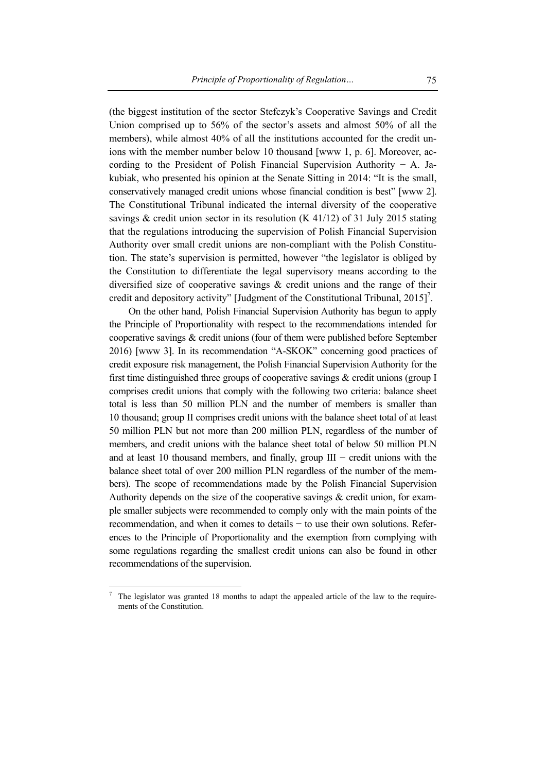(the biggest institution of the sector Stefczyk's Cooperative Savings and Credit Union comprised up to 56% of the sector's assets and almost 50% of all the members), while almost 40% of all the institutions accounted for the credit unions with the member number below 10 thousand [www 1, p. 6]. Moreover, according to the President of Polish Financial Supervision Authority − A. Jakubiak, who presented his opinion at the Senate Sitting in 2014: "It is the small, conservatively managed credit unions whose financial condition is best" [www 2]. The Constitutional Tribunal indicated the internal diversity of the cooperative savings  $\&$  credit union sector in its resolution (K 41/12) of 31 July 2015 stating that the regulations introducing the supervision of Polish Financial Supervision Authority over small credit unions are non-compliant with the Polish Constitution. The state's supervision is permitted, however "the legislator is obliged by the Constitution to differentiate the legal supervisory means according to the diversified size of cooperative savings & credit unions and the range of their credit and depository activity" [Judgment of the Constitutional Tribunal,  $2015$ ]<sup>7</sup>.

On the other hand, Polish Financial Supervision Authority has begun to apply the Principle of Proportionality with respect to the recommendations intended for cooperative savings & credit unions (four of them were published before September 2016) [www 3]. In its recommendation "A-SKOK" concerning good practices of credit exposure risk management, the Polish Financial Supervision Authority for the first time distinguished three groups of cooperative savings & credit unions (group I comprises credit unions that comply with the following two criteria: balance sheet total is less than 50 million PLN and the number of members is smaller than 10 thousand; group II comprises credit unions with the balance sheet total of at least 50 million PLN but not more than 200 million PLN, regardless of the number of members, and credit unions with the balance sheet total of below 50 million PLN and at least 10 thousand members, and finally, group  $III$  – credit unions with the balance sheet total of over 200 million PLN regardless of the number of the members). The scope of recommendations made by the Polish Financial Supervision Authority depends on the size of the cooperative savings & credit union, for example smaller subjects were recommended to comply only with the main points of the recommendation, and when it comes to details − to use their own solutions. References to the Principle of Proportionality and the exemption from complying with some regulations regarding the smallest credit unions can also be found in other recommendations of the supervision.

<sup>7</sup> The legislator was granted 18 months to adapt the appealed article of the law to the requirements of the Constitution.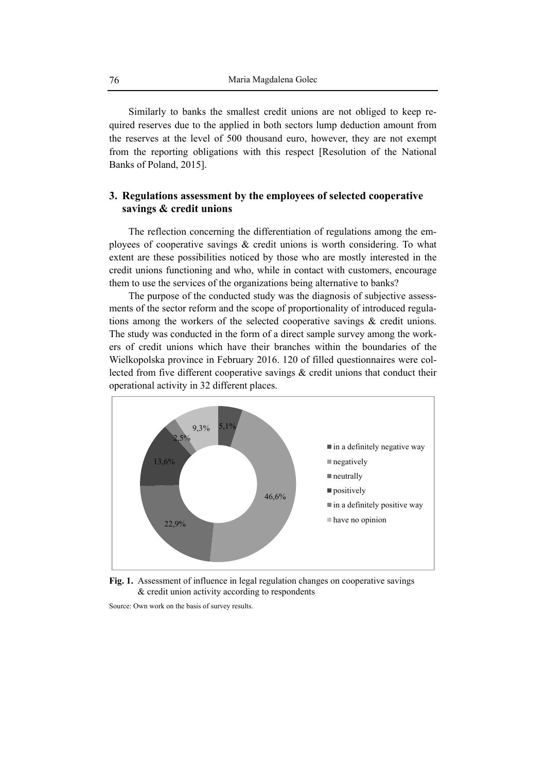Similarly to banks the smallest credit unions are not obliged to keep required reserves due to the applied in both sectors lump deduction amount from the reserves at the level of 500 thousand euro, however, they are not exempt from the reporting obligations with this respect [Resolution of the National Banks of Poland, 2015].

# **3. Regulations assessment by the employees of selected cooperative savings & credit unions**

The reflection concerning the differentiation of regulations among the employees of cooperative savings & credit unions is worth considering. To what extent are these possibilities noticed by those who are mostly interested in the credit unions functioning and who, while in contact with customers, encourage them to use the services of the organizations being alternative to banks?

The purpose of the conducted study was the diagnosis of subjective assessments of the sector reform and the scope of proportionality of introduced regulations among the workers of the selected cooperative savings & credit unions. The study was conducted in the form of a direct sample survey among the workers of credit unions which have their branches within the boundaries of the Wielkopolska province in February 2016. 120 of filled questionnaires were collected from five different cooperative savings & credit unions that conduct their operational activity in 32 different places.



**Fig. 1.** Assessment of influence in legal regulation changes on cooperative savings & credit union activity according to respondents

Source: Own work on the basis of survey results.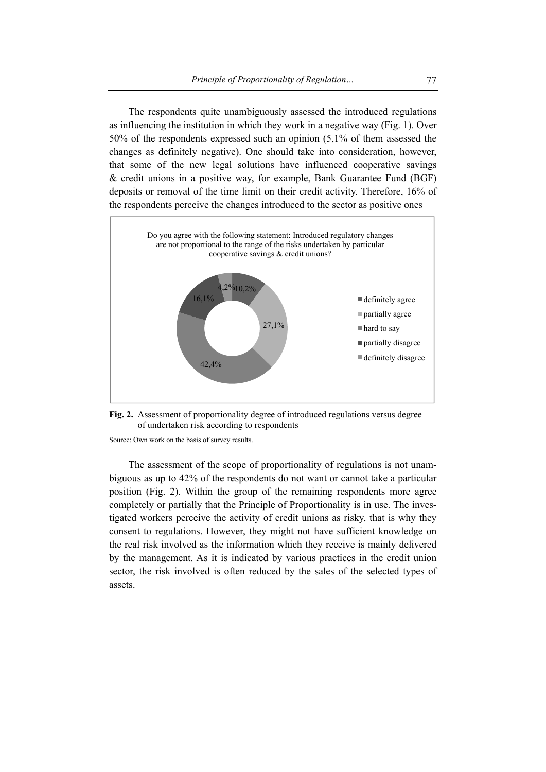The respondents quite unambiguously assessed the introduced regulations as influencing the institution in which they work in a negative way (Fig. 1). Over 50% of the respondents expressed such an opinion (5,1% of them assessed the changes as definitely negative). One should take into consideration, however, that some of the new legal solutions have influenced cooperative savings & credit unions in a positive way, for example, Bank Guarantee Fund (BGF) deposits or removal of the time limit on their credit activity. Therefore, 16% of the respondents perceive the changes introduced to the sector as positive ones



**Fig. 2.** Assessment of proportionality degree of introduced regulations versus degree of undertaken risk according to respondents

Source: Own work on the basis of survey results.

The assessment of the scope of proportionality of regulations is not unambiguous as up to 42% of the respondents do not want or cannot take a particular position (Fig. 2). Within the group of the remaining respondents more agree completely or partially that the Principle of Proportionality is in use. The investigated workers perceive the activity of credit unions as risky, that is why they consent to regulations. However, they might not have sufficient knowledge on the real risk involved as the information which they receive is mainly delivered by the management. As it is indicated by various practices in the credit union sector, the risk involved is often reduced by the sales of the selected types of assets.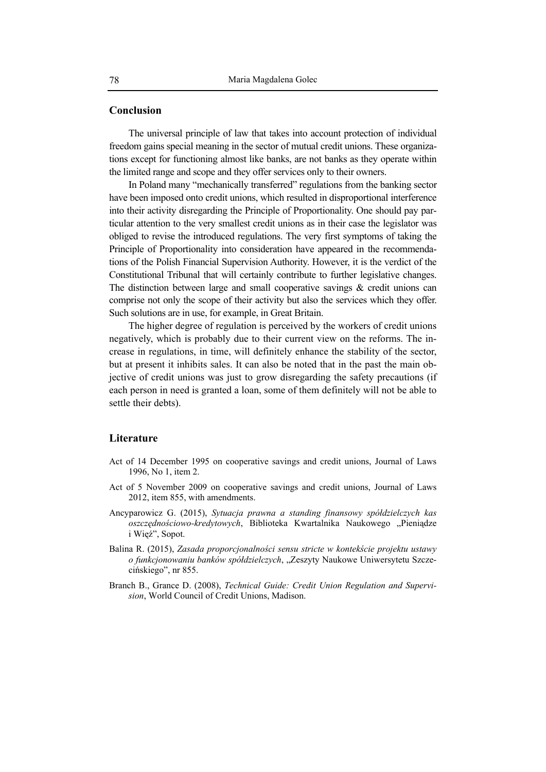### **Conclusion**

The universal principle of law that takes into account protection of individual freedom gains special meaning in the sector of mutual credit unions. These organizations except for functioning almost like banks, are not banks as they operate within the limited range and scope and they offer services only to their owners.

In Poland many "mechanically transferred" regulations from the banking sector have been imposed onto credit unions, which resulted in disproportional interference into their activity disregarding the Principle of Proportionality. One should pay particular attention to the very smallest credit unions as in their case the legislator was obliged to revise the introduced regulations. The very first symptoms of taking the Principle of Proportionality into consideration have appeared in the recommendations of the Polish Financial Supervision Authority. However, it is the verdict of the Constitutional Tribunal that will certainly contribute to further legislative changes. The distinction between large and small cooperative savings  $\&$  credit unions can comprise not only the scope of their activity but also the services which they offer. Such solutions are in use, for example, in Great Britain.

The higher degree of regulation is perceived by the workers of credit unions negatively, which is probably due to their current view on the reforms. The increase in regulations, in time, will definitely enhance the stability of the sector, but at present it inhibits sales. It can also be noted that in the past the main objective of credit unions was just to grow disregarding the safety precautions (if each person in need is granted a loan, some of them definitely will not be able to settle their debts).

### **Literature**

- Act of 14 December 1995 on cooperative savings and credit unions, Journal of Laws 1996, No 1, item 2.
- Act of 5 November 2009 on cooperative savings and credit unions, Journal of Laws 2012, item 855, with amendments.
- Ancyparowicz G. (2015), *Sytuacja prawna a standing finansowy spółdzielczych kas oszczędnościowo-kredytowych*, Biblioteka Kwartalnika Naukowego "Pieniądze i Więź", Sopot.
- Balina R. (2015), *Zasada proporcjonalności sensu stricte w kontekście projektu ustawy o funkcjonowaniu banków spółdzielczych*, "Zeszyty Naukowe Uniwersytetu Szczecińskiego", nr 855.
- Branch B., Grance D. (2008), *Technical Guide: Credit Union Regulation and Supervision*, World Council of Credit Unions, Madison.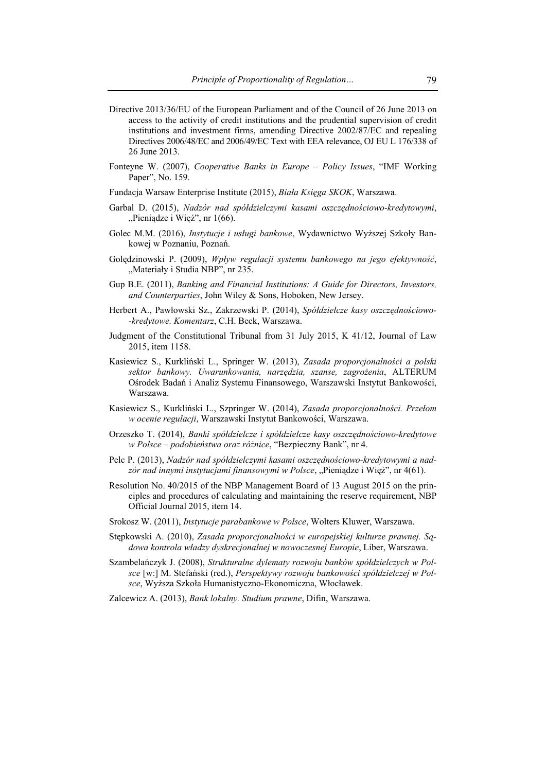- Directive 2013/36/EU of the European Parliament and of the Council of 26 June 2013 on access to the activity of credit institutions and the prudential supervision of credit institutions and investment firms, amending Directive 2002/87/EC and repealing Directives 2006/48/EC and 2006/49/EC Text with EEA relevance, OJ EU L 176/338 of 26 June 2013.
- Fonteyne W. (2007), *Cooperative Banks in Europe Policy Issues*, "IMF Working Paper", No. 159.
- Fundacja Warsaw Enterprise Institute (2015), *Biała Księga SKOK*, Warszawa.
- Garbal D. (2015), *Nadzór nad spółdzielczymi kasami oszczędnościowo-kredytowymi*, "Pieniądze i Więź", nr 1(66).
- Golec M.M. (2016), *Instytucje i usługi bankowe*, Wydawnictwo Wyższej Szkoły Bankowej w Poznaniu, Poznań.
- Golędzinowski P. (2009), *Wpływ regulacji systemu bankowego na jego efektywność*, "Materiały i Studia NBP", nr 235.
- Gup B.E. (2011), *Banking and Financial Institutions: A Guide for Directors, Investors, and Counterparties*, John Wiley & Sons, Hoboken, New Jersey.
- Herbert A., Pawłowski Sz., Zakrzewski P. (2014), *Spółdzielcze kasy oszczędnościowo- -kredytowe. Komentarz*, C.H. Beck, Warszawa.
- Judgment of the Constitutional Tribunal from 31 July 2015, K 41/12, Journal of Law 2015, item 1158.
- Kasiewicz S., Kurkliński L., Springer W. (2013), *Zasada proporcjonalności a polski sektor bankowy. Uwarunkowania, narzędzia, szanse, zagrożenia*, ALTERUM Ośrodek Badań i Analiz Systemu Finansowego, Warszawski Instytut Bankowości, Warszawa.
- Kasiewicz S., Kurkliński L., Szpringer W. (2014), *Zasada proporcjonalności. Przełom w ocenie regulacji*, Warszawski Instytut Bankowości, Warszawa.
- Orzeszko T. (2014), *Banki spółdzielcze i spółdzielcze kasy oszczędnościowo-kredytowe w Polsce – podobieństwa oraz różnice*, "Bezpieczny Bank", nr 4.
- Pelc P. (2013), *Nadzór nad spółdzielczymi kasami oszczędnościowo-kredytowymi a nad*zór nad innymi instytucjami finansowymi w Polsce, "Pieniądze i Więź", nr 4(61).
- Resolution No. 40/2015 of the NBP Management Board of 13 August 2015 on the principles and procedures of calculating and maintaining the reserve requirement, NBP Official Journal 2015, item 14.
- Srokosz W. (2011), *Instytucje parabankowe w Polsce*, Wolters Kluwer, Warszawa.
- Stępkowski A. (2010), *Zasada proporcjonalności w europejskiej kulturze prawnej. Sądowa kontrola władzy dyskrecjonalnej w nowoczesnej Europie*, Liber, Warszawa.
- Szambelańczyk J. (2008), *Strukturalne dylematy rozwoju banków spółdzielczych w Polsce* [w:] M. Stefański (red.), *Perspektywy rozwoju bankowości spółdzielczej w Polsce*, Wyższa Szkoła Humanistyczno-Ekonomiczna, Włocławek.
- Zalcewicz A. (2013), *Bank lokalny. Studium prawne*, Difin, Warszawa.